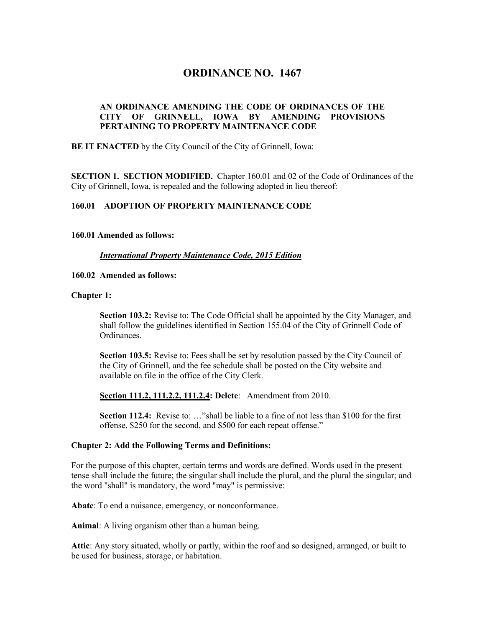# **ORDINANCE NO. 1467**

# **AN ORDINANCE AMENDING THE CODE OF ORDINANCES OF THE CITY OF GRINNELL, IOWA BY AMENDING PROVISIONS PERTAINING TO PROPERTY MAINTENANCE CODE**

**BE IT ENACTED** by the City Council of the City of Grinnell, Iowa:

**SECTION 1. SECTION MODIFIED.** Chapter 160.01 and 02 of the Code of Ordinances of the City of Grinnell, Iowa, is repealed and the following adopted in lieu thereof:

## **160.01 ADOPTION OF PROPERTY MAINTENANCE CODE**

## **160.01 Amended as follows:**

## *International Property Maintenance Code, 2015 Edition*

## **160.02 Amended as follows:**

## **Chapter 1:**

**Section 103.2:** Revise to: The Code Official shall be appointed by the City Manager, and shall follow the guidelines identified in Section 155.04 of the City of Grinnell Code of Ordinances.

**Section 103.5:** Revise to: Fees shall be set by resolution passed by the City Council of the City of Grinnell, and the fee schedule shall be posted on the City website and available on file in the office of the City Clerk.

**Section 111.2, 111.2.2, 111.2.4: Delete**: Amendment from 2010.

**Section 112.4:** Revise to: …"shall be liable to a fine of not less than \$100 for the first offense, \$250 for the second, and \$500 for each repeat offense."

#### **Chapter 2: Add the Following Terms and Definitions:**

For the purpose of this chapter, certain terms and words are defined. Words used in the present tense shall include the future; the singular shall include the plural, and the plural the singular; and the word "shall" is mandatory, the word "may" is permissive:

**Abate**: To end a nuisance, emergency, or nonconformance.

**Animal**: A living organism other than a human being.

**Attic**: Any story situated, wholly or partly, within the roof and so designed, arranged, or built to be used for business, storage, or habitation.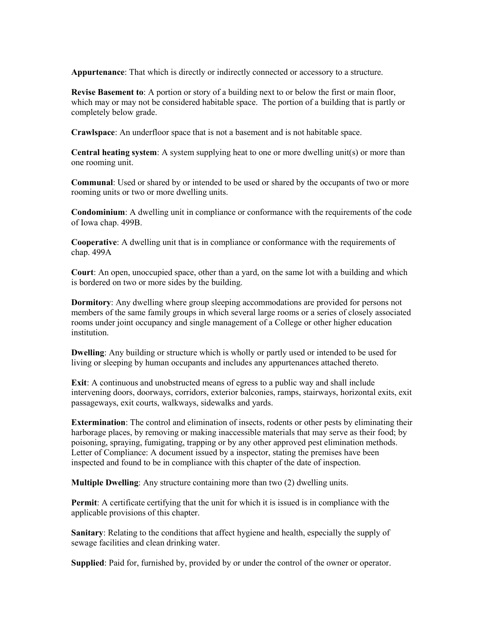**Appurtenance**: That which is directly or indirectly connected or accessory to a structure.

**Revise Basement to**: A portion or story of a building next to or below the first or main floor, which may or may not be considered habitable space. The portion of a building that is partly or completely below grade.

**Crawlspace**: An underfloor space that is not a basement and is not habitable space.

**Central heating system**: A system supplying heat to one or more dwelling unit(s) or more than one rooming unit.

**Communal**: Used or shared by or intended to be used or shared by the occupants of two or more rooming units or two or more dwelling units.

**Condominium**: A dwelling unit in compliance or conformance with the requirements of the code of Iowa chap. 499B.

**Cooperative**: A dwelling unit that is in compliance or conformance with the requirements of chap. 499A

**Court**: An open, unoccupied space, other than a yard, on the same lot with a building and which is bordered on two or more sides by the building.

**Dormitory**: Any dwelling where group sleeping accommodations are provided for persons not members of the same family groups in which several large rooms or a series of closely associated rooms under joint occupancy and single management of a College or other higher education institution.

**Dwelling**: Any building or structure which is wholly or partly used or intended to be used for living or sleeping by human occupants and includes any appurtenances attached thereto.

**Exit**: A continuous and unobstructed means of egress to a public way and shall include intervening doors, doorways, corridors, exterior balconies, ramps, stairways, horizontal exits, exit passageways, exit courts, walkways, sidewalks and yards.

**Extermination**: The control and elimination of insects, rodents or other pests by eliminating their harborage places, by removing or making inaccessible materials that may serve as their food; by poisoning, spraying, fumigating, trapping or by any other approved pest elimination methods. Letter of Compliance: A document issued by a inspector, stating the premises have been inspected and found to be in compliance with this chapter of the date of inspection.

**Multiple Dwelling**: Any structure containing more than two (2) dwelling units.

**Permit**: A certificate certifying that the unit for which it is issued is in compliance with the applicable provisions of this chapter.

**Sanitary**: Relating to the conditions that affect hygiene and health, especially the supply of sewage facilities and clean drinking water.

**Supplied**: Paid for, furnished by, provided by or under the control of the owner or operator.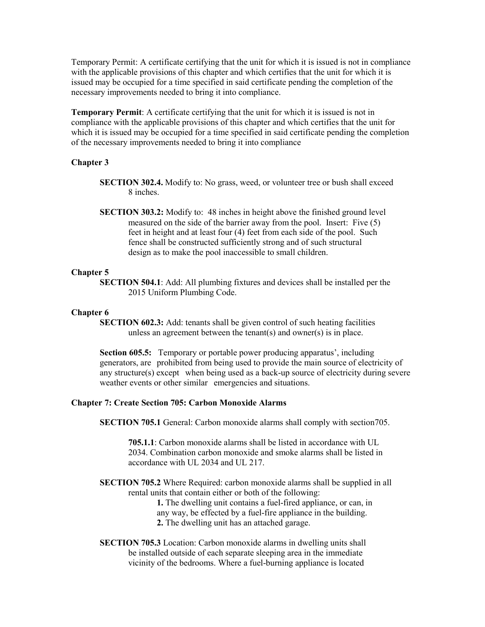Temporary Permit: A certificate certifying that the unit for which it is issued is not in compliance with the applicable provisions of this chapter and which certifies that the unit for which it is issued may be occupied for a time specified in said certificate pending the completion of the necessary improvements needed to bring it into compliance.

**Temporary Permit**: A certificate certifying that the unit for which it is issued is not in compliance with the applicable provisions of this chapter and which certifies that the unit for which it is issued may be occupied for a time specified in said certificate pending the completion of the necessary improvements needed to bring it into compliance

#### **Chapter 3**

- **SECTION 302.4.** Modify to: No grass, weed, or volunteer tree or bush shall exceed 8 inches.
- **SECTION 303.2:** Modify to: 48 inches in height above the finished ground level measured on the side of the barrier away from the pool. Insert: Five (5) feet in height and at least four (4) feet from each side of the pool. Such fence shall be constructed sufficiently strong and of such structural design as to make the pool inaccessible to small children.

#### **Chapter 5**

**SECTION 504.1**: Add: All plumbing fixtures and devices shall be installed per the 2015 Uniform Plumbing Code.

#### **Chapter 6**

**SECTION 602.3:** Add: tenants shall be given control of such heating facilities unless an agreement between the tenant(s) and owner(s) is in place.

**Section 605.5:** Temporary or portable power producing apparatus', including generators, are prohibited from being used to provide the main source of electricity of any structure(s) except when being used as a back-up source of electricity during severe weather events or other similar emergencies and situations.

#### **Chapter 7: Create Section 705: Carbon Monoxide Alarms**

**SECTION 705.1** General: Carbon monoxide alarms shall comply with section705.

**705.1.1**: Carbon monoxide alarms shall be listed in accordance with UL 2034. Combination carbon monoxide and smoke alarms shall be listed in accordance with UL 2034 and UL 217.

**SECTION 705.2** Where Required: carbon monoxide alarms shall be supplied in all rental units that contain either or both of the following:

> **1.** The dwelling unit contains a fuel-fired appliance, or can, in any way, be effected by a fuel-fire appliance in the building. **2.** The dwelling unit has an attached garage.

**SECTION 705.3** Location: Carbon monoxide alarms in dwelling units shall be installed outside of each separate sleeping area in the immediate vicinity of the bedrooms. Where a fuel-burning appliance is located